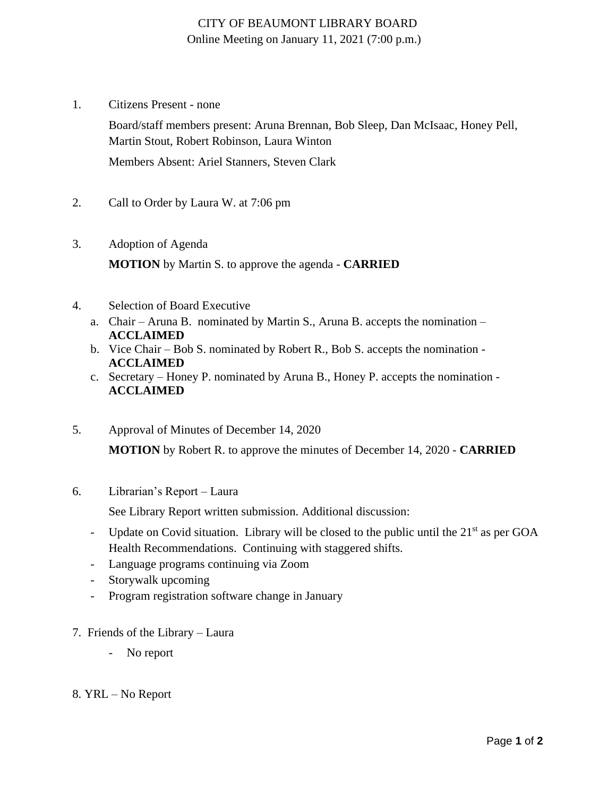## CITY OF BEAUMONT LIBRARY BOARD Online Meeting on January 11, 2021 (7:00 p.m.)

1. Citizens Present - none

Board/staff members present: Aruna Brennan, Bob Sleep, Dan McIsaac, Honey Pell, Martin Stout, Robert Robinson, Laura Winton

Members Absent: Ariel Stanners, Steven Clark

- 2. Call to Order by Laura W. at 7:06 pm
- 3. Adoption of Agenda **MOTION** by Martin S. to approve the agenda - **CARRIED**
- 4. Selection of Board Executive
	- a. Chair Aruna B. nominated by Martin S., Aruna B. accepts the nomination **ACCLAIMED**
	- b. Vice Chair Bob S. nominated by Robert R., Bob S. accepts the nomination **ACCLAIMED**
	- c. Secretary Honey P. nominated by Aruna B., Honey P. accepts the nomination **ACCLAIMED**
- 5. Approval of Minutes of December 14, 2020 **MOTION** by Robert R. to approve the minutes of December 14, 2020 - **CARRIED**
- 6. Librarian's Report Laura

See Library Report written submission. Additional discussion:

- Update on Covid situation. Library will be closed to the public until the  $21<sup>st</sup>$  as per GOA Health Recommendations. Continuing with staggered shifts.
- Language programs continuing via Zoom
- Storywalk upcoming
- Program registration software change in January
- 7. Friends of the Library Laura
	- No report
- 8. YRL No Report